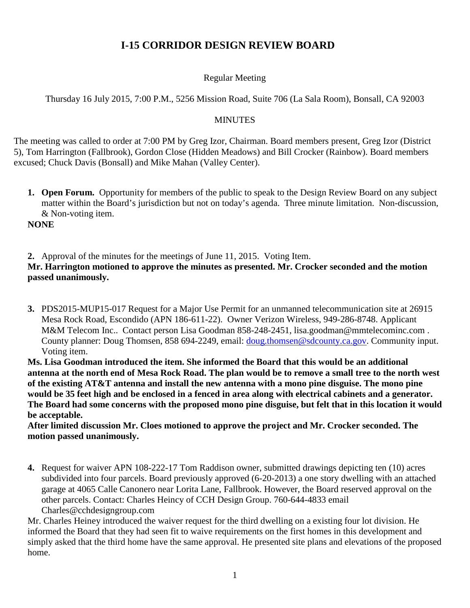# **I-15 CORRIDOR DESIGN REVIEW BOARD**

## Regular Meeting

Thursday 16 July 2015, 7:00 P.M., 5256 Mission Road, Suite 706 (La Sala Room), Bonsall, CA 92003

### **MINUTES**

The meeting was called to order at 7:00 PM by Greg Izor, Chairman. Board members present, Greg Izor (District 5), Tom Harrington (Fallbrook), Gordon Close (Hidden Meadows) and Bill Crocker (Rainbow). Board members excused; Chuck Davis (Bonsall) and Mike Mahan (Valley Center).

**1. Open Forum.** Opportunity for members of the public to speak to the Design Review Board on any subject matter within the Board's jurisdiction but not on today's agenda. Three minute limitation. Non-discussion, & Non-voting item.

**NONE**

**2.** Approval of the minutes for the meetings of June 11, 2015. Voting Item.

## **Mr. Harrington motioned to approve the minutes as presented. Mr. Crocker seconded and the motion passed unanimously.**

**3.** PDS2015-MUP15-017 Request for a Major Use Permit for an unmanned telecommunication site at 26915 Mesa Rock Road, Escondido (APN 186-611-22). Owner Verizon Wireless, 949-286-8748. Applicant M&M Telecom Inc.. Contact person Lisa Goodman 858-248-2451, lisa.goodman@mmtelecominc.com . County planner: Doug Thomsen, 858 694-2249, email: [doug.thomsen@sdcounty.ca.gov.](mailto:doug.thomsen@sdcounty.ca.gov) Community input. Voting item.

**Ms. Lisa Goodman introduced the item. She informed the Board that this would be an additional antenna at the north end of Mesa Rock Road. The plan would be to remove a small tree to the north west of the existing AT&T antenna and install the new antenna with a mono pine disguise. The mono pine would be 35 feet high and be enclosed in a fenced in area along with electrical cabinets and a generator. The Board had some concerns with the proposed mono pine disguise, but felt that in this location it would be acceptable.**

**After limited discussion Mr. Cloes motioned to approve the project and Mr. Crocker seconded. The motion passed unanimously.**

**4.** Request for waiver APN 108-222-17 Tom Raddison owner, submitted drawings depicting ten (10) acres subdivided into four parcels. Board previously approved (6-20-2013) a one story dwelling with an attached garage at 4065 Calle Canonero near Lorita Lane, Fallbrook. However, the Board reserved approval on the other parcels. Contact: Charles Heincy of CCH Design Group. 760-644-4833 email Charles@cchdesigngroup.com

Mr. Charles Heiney introduced the waiver request for the third dwelling on a existing four lot division. He informed the Board that they had seen fit to waive requirements on the first homes in this development and simply asked that the third home have the same approval. He presented site plans and elevations of the proposed home.